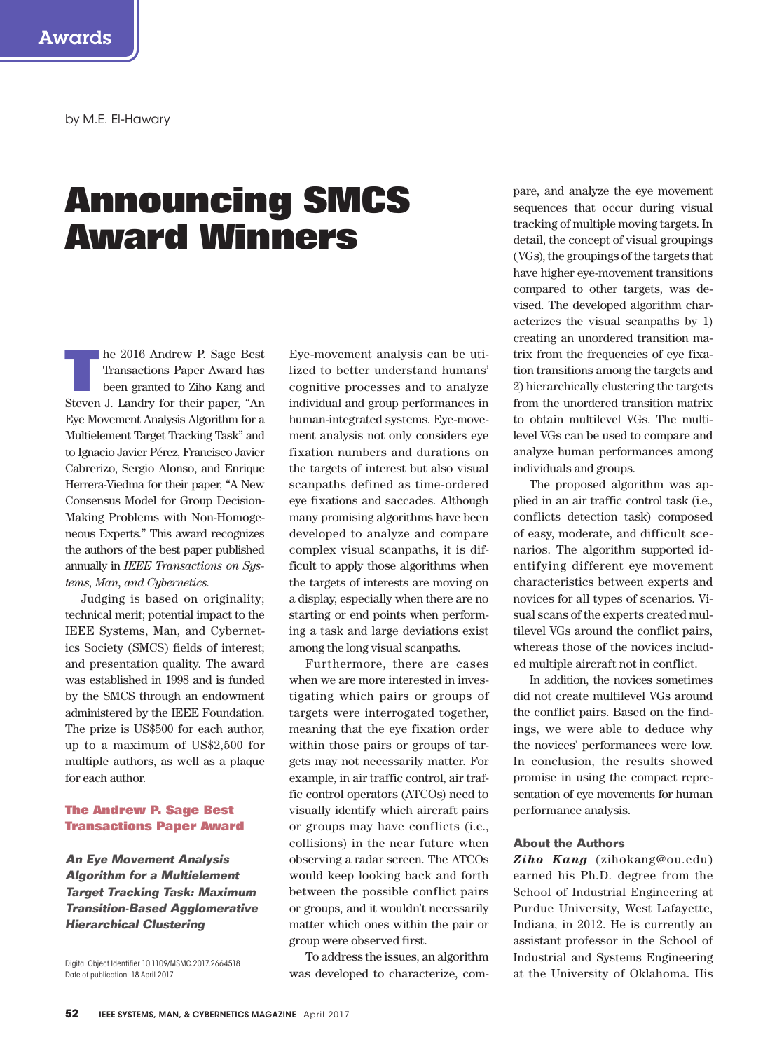# **Announcing SMCS Award Winners**

**The 2016 Andrew P. Sage Best**<br> **Transactions Paper Award has**<br>
been granted to Ziho Kang and<br>
Steven J. Landry for their paper "Ap Transactions Paper Award has Steven J. Landry for their paper, "An Eye Movement Analysis Algorithm for a Multielement Target Tracking Task" and to Ignacio Javier Pérez, Francisco Javier Cabrerizo, Sergio Alonso, and Enrique Herrera-Viedma for their paper, "A New Consensus Model for Group Decision-Making Problems with Non-Homogeneous Experts." This award recognizes the authors of the best paper published annually in *IEEE Transactions on Systems, Man, and Cybernetics.* 

Judging is based on originality; technical merit; potential impact to the IEEE Systems, Man, and Cybernetics Society (SMCS) fields of interest; and presentation quality. The award was established in 1998 and is funded by the SMCS through an endowment administered by the IEEE Foundation. The prize is US\$500 for each author, up to a maximum of US\$2,500 for multiple authors, as well as a plaque for each author.

## **The Andrew P. Sage Best Transactions Paper Award**

**An Eye Movement Analysis Algorithm for a Multielement Target Tracking Task: Maximum Transition-Based Agglomerative Hierarchical Clustering**

Digital Object Identifier 10.1109/MSMC.2017.2664518 Date of publication: 18 April 2017

Eye-movement analysis can be utilized to better understand humans' cognitive processes and to analyze individual and group performances in human-integrated systems. Eye-movement analysis not only considers eye fixation numbers and durations on the targets of interest but also visual scanpaths defined as time-ordered eye fixations and saccades. Although many promising algorithms have been developed to analyze and compare complex visual scanpaths, it is difficult to apply those algorithms when the targets of interests are moving on a display, especially when there are no starting or end points when performing a task and large deviations exist among the long visual scanpaths.

Furthermore, there are cases when we are more interested in investigating which pairs or groups of targets were interrogated together, meaning that the eye fixation order within those pairs or groups of targets may not necessarily matter. For example, in air traffic control, air traffic control operators (ATCOs) need to visually identify which aircraft pairs or groups may have conflicts (i.e., collisions) in the near future when observing a radar screen. The ATCOs would keep looking back and forth between the possible conflict pairs or groups, and it wouldn't necessarily matter which ones within the pair or group were observed first.

To address the issues, an algorithm was developed to characterize, compare, and analyze the eye movement sequences that occur during visual tracking of multiple moving targets. In detail, the concept of visual groupings (VGs), the groupings of the targets that have higher eye-movement transitions compared to other targets, was devised. The developed algorithm characterizes the visual scanpaths by 1) creating an unordered transition matrix from the frequencies of eye fixation transitions among the targets and 2) hierarchically clustering the targets from the unordered transition matrix to obtain multilevel VGs. The multilevel VGs can be used to compare and analyze human performances among individuals and groups.

The proposed algorithm was applied in an air traffic control task (i.e., conflicts detection task) composed of easy, moderate, and difficult scenarios. The algorithm supported identifying different eye movement characteristics between experts and novices for all types of scenarios. Visual scans of the experts created multilevel VGs around the conflict pairs, whereas those of the novices included multiple aircraft not in conflict.

In addition, the novices sometimes did not create multilevel VGs around the conflict pairs. Based on the findings, we were able to deduce why the novices' performances were low. In conclusion, the results showed promise in using the compact representation of eye movements for human performance analysis.

#### **About the Authors**

*Ziho Kang* (zihokang@ou.edu) earned his Ph.D. degree from the School of Industrial Engineering at Purdue University, West Lafayette, Indiana, in 2012. He is currently an assistant professor in the School of Industrial and Systems Engineering at the University of Oklahoma. His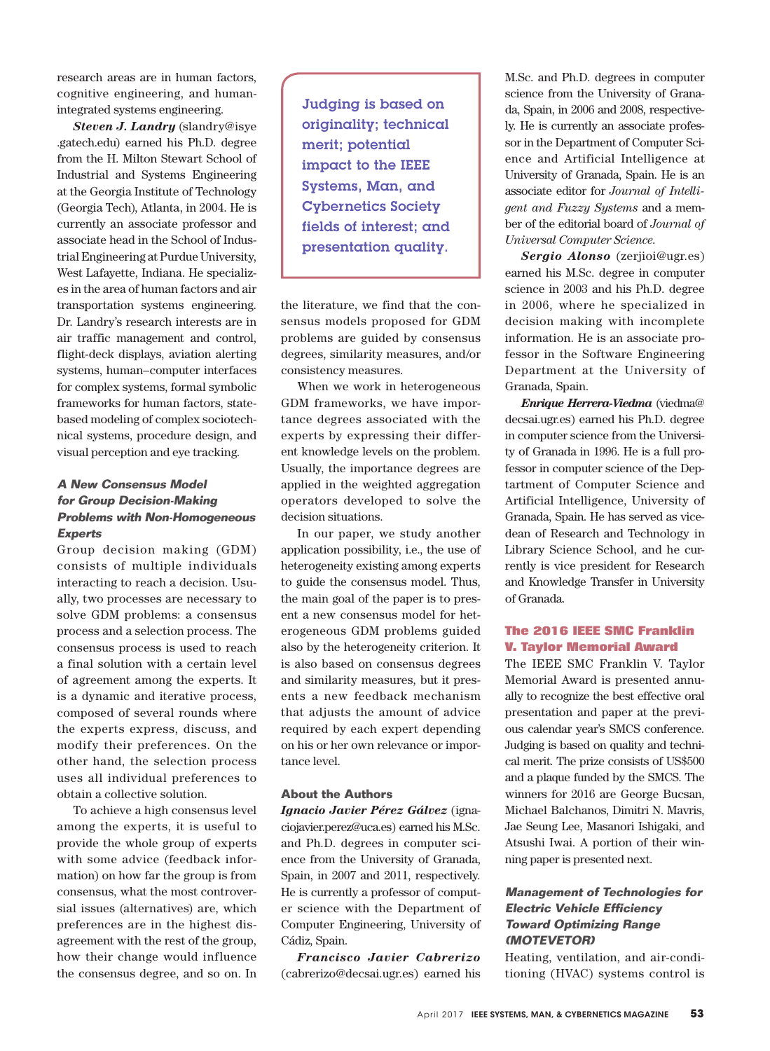research areas are in human factors, cognitive engineering, and humanintegrated systems engineering.

*Steven J. Landry* (slandry@isye .gatech.edu) earned his Ph.D. degree from the H. Milton Stewart School of Industrial and Systems Engineering at the Georgia Institute of Technology (Georgia Tech), Atlanta, in 2004. He is currently an associate professor and associate head in the School of Industrial Engineering at Purdue University, West Lafayette, Indiana. He specializes in the area of human factors and air transportation systems engineering. Dr. Landry's research interests are in air traffic management and control, flight-deck displays, aviation alerting systems, human–computer interfaces for complex systems, formal symbolic frameworks for human factors, statebased modeling of complex sociotechnical systems, procedure design, and visual perception and eye tracking.

# **A New Consensus Model for Group Decision-Making Problems with Non-Homogeneous Experts**

Group decision making (GDM) consists of multiple individuals interacting to reach a decision. Usually, two processes are necessary to solve GDM problems: a consensus process and a selection process. The consensus process is used to reach a final solution with a certain level of agreement among the experts. It is a dynamic and iterative process, composed of several rounds where the experts express, discuss, and modify their preferences. On the other hand, the selection process uses all individual preferences to obtain a collective solution.

To achieve a high consensus level among the experts, it is useful to provide the whole group of experts with some advice (feedback information) on how far the group is from consensus, what the most controversial issues (alternatives) are, which preferences are in the highest disagreement with the rest of the group, how their change would influence the consensus degree, and so on. In

Judging is based on originality; technical merit; potential impact to the IEEE Systems, Man, and Cybernetics Society fields of interest; and presentation quality.

the literature, we find that the consensus models proposed for GDM problems are guided by consensus degrees, similarity measures, and/or consistency measures.

When we work in heterogeneous GDM frameworks, we have importance degrees associated with the experts by expressing their different knowledge levels on the problem. Usually, the importance degrees are applied in the weighted aggregation operators developed to solve the decision situations.

In our paper, we study another application possibility, i.e., the use of heterogeneity existing among experts to guide the consensus model. Thus, the main goal of the paper is to present a new consensus model for heterogeneous GDM problems guided also by the heterogeneity criterion. It is also based on consensus degrees and similarity measures, but it presents a new feedback mechanism that adjusts the amount of advice required by each expert depending on his or her own relevance or importance level.

#### **About the Authors**

*Ignacio Javier Pérez Gálvez* (ignaciojavier.perez@uca.es) earned his M.Sc. and Ph.D. degrees in computer science from the University of Granada, Spain, in 2007 and 2011, respectively. He is currently a professor of computer science with the Department of Computer Engineering, University of Cádiz, Spain.

*Francisco Javier Cabrerizo* (cabrerizo@decsai.ugr.es) earned his

M.Sc. and Ph.D. degrees in computer science from the University of Granada, Spain, in 2006 and 2008, respectively. He is currently an associate professor in the Department of Computer Science and Artificial Intelligence at University of Granada, Spain. He is an associate editor for *Journal of Intelligent and Fuzzy Systems* and a member of the editorial board of *Journal of Universal Computer Science*.

*Sergio Alonso* (zerjioi@ugr.es) earned his M.Sc. degree in computer science in 2003 and his Ph.D. degree in 2006, where he specialized in decision making with incomplete information. He is an associate professor in the Software Engineering Department at the University of Granada, Spain.

*Enrique Herrera-Viedma* (viedma@ decsai.ugr.es) earned his Ph.D. degree in computer science from the University of Granada in 1996. He is a full professor in computer science of the Deptartment of Computer Science and Artificial Intelligence, University of Granada, Spain. He has served as vicedean of Research and Technology in Library Science School, and he currently is vice president for Research and Knowledge Transfer in University of Granada.

### **The 2016 IEEE SMC Franklin V. Taylor Memorial Award**

The IEEE SMC Franklin V. Taylor Memorial Award is presented annually to recognize the best effective oral presentation and paper at the previous calendar year's SMCS conference. Judging is based on quality and technical merit. The prize consists of US\$500 and a plaque funded by the SMCS. The winners for 2016 are George Bucsan, Michael Balchanos, Dimitri N. Mavris, Jae Seung Lee, Masanori Ishigaki, and Atsushi Iwai. A portion of their winning paper is presented next.

# **Management of Technologies for Electric Vehicle Efficiency Toward Optimizing Range (MOTEVETOR)**

Heating, ventilation, and air-conditioning (HVAC) systems control is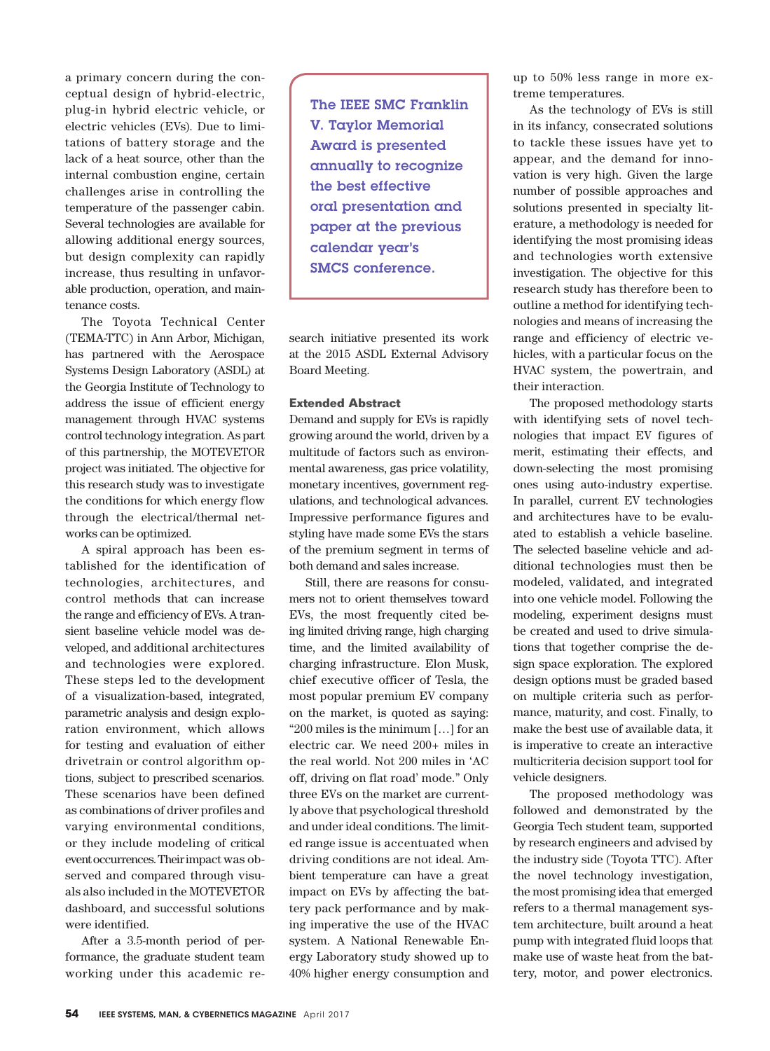a primary concern during the conceptual design of hybrid-electric, plug-in hybrid electric vehicle, or electric vehicles (EVs). Due to limitations of battery storage and the lack of a heat source, other than the internal combustion engine, certain challenges arise in controlling the temperature of the passenger cabin. Several technologies are available for allowing additional energy sources, but design complexity can rapidly increase, thus resulting in unfavorable production, operation, and maintenance costs.

The Toyota Technical Center (TEMA-TTC) in Ann Arbor, Michigan, has partnered with the Aerospace Systems Design Laboratory (ASDL) at the Georgia Institute of Technology to address the issue of efficient energy management through HVAC systems control technology integration. As part of this partnership, the MOTEVETOR project was initiated. The objective for this research study was to investigate the conditions for which energy flow through the electrical/thermal networks can be optimized.

A spiral approach has been established for the identification of technologies, architectures, and control methods that can increase the range and efficiency of EVs. A transient baseline vehicle model was developed, and additional architectures and technologies were explored. These steps led to the development of a visualization-based, integrated, parametric analysis and design exploration environment, which allows for testing and evaluation of either drivetrain or control algorithm options, subject to prescribed scenarios. These scenarios have been defined as combinations of driver profiles and varying environmental conditions, or they include modeling of critical event occurrences. Their impact was observed and compared through visuals also included in the MOTEVETOR dashboard, and successful solutions were identified.

After a 3.5-month period of performance, the graduate student team working under this academic reThe IEEE SMC Franklin V. Taylor Memorial Award is presented annually to recognize the best effective oral presentation and paper at the previous calendar year's SMCS conference.

search initiative presented its work at the 2015 ASDL External Advisory Board Meeting.

#### **Extended Abstract**

Demand and supply for EVs is rapidly growing around the world, driven by a multitude of factors such as environmental awareness, gas price volatility, monetary incentives, government regulations, and technological advances. Impressive performance figures and styling have made some EVs the stars of the premium segment in terms of both demand and sales increase.

Still, there are reasons for consumers not to orient themselves toward EVs, the most frequently cited being limited driving range, high charging time, and the limited availability of charging infrastructure. Elon Musk, chief executive officer of Tesla, the most popular premium EV company on the market, is quoted as saying: "200 miles is the minimum […] for an electric car. We need 200+ miles in the real world. Not 200 miles in 'AC off, driving on flat road' mode." Only three EVs on the market are currently above that psychological threshold and under ideal conditions. The limited range issue is accentuated when driving conditions are not ideal. Ambient temperature can have a great impact on EVs by affecting the battery pack performance and by making imperative the use of the HVAC system. A National Renewable Energy Laboratory study showed up to 40% higher energy consumption and

up to 50% less range in more extreme temperatures.

As the technology of EVs is still in its infancy, consecrated solutions to tackle these issues have yet to appear, and the demand for innovation is very high. Given the large number of possible approaches and solutions presented in specialty literature, a methodology is needed for identifying the most promising ideas and technologies worth extensive investigation. The objective for this research study has therefore been to outline a method for identifying technologies and means of increasing the range and efficiency of electric vehicles, with a particular focus on the HVAC system, the powertrain, and their interaction.

The proposed methodology starts with identifying sets of novel technologies that impact EV figures of merit, estimating their effects, and down-selecting the most promising ones using auto-industry expertise. In parallel, current EV technologies and architectures have to be evaluated to establish a vehicle baseline. The selected baseline vehicle and additional technologies must then be modeled, validated, and integrated into one vehicle model. Following the modeling, experiment designs must be created and used to drive simulations that together comprise the design space exploration. The explored design options must be graded based on multiple criteria such as performance, maturity, and cost. Finally, to make the best use of available data, it is imperative to create an interactive multicriteria decision support tool for vehicle designers.

The proposed methodology was followed and demonstrated by the Georgia Tech student team, supported by research engineers and advised by the industry side (Toyota TTC). After the novel technology investigation, the most promising idea that emerged refers to a thermal management system architecture, built around a heat pump with integrated fluid loops that make use of waste heat from the battery, motor, and power electronics.